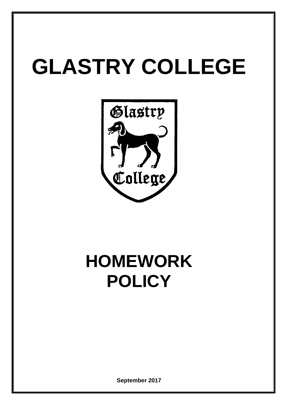# **GLASTRY COLLEGE**



# **HOMEWORK POLICY**

**September 2017**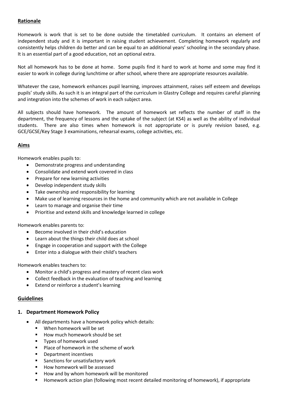# **Rationale**

Homework is work that is set to be done outside the timetabled curriculum. It contains an element of independent study and it is important in raising student achievement. Completing homework regularly and consistently helps children do better and can be equal to an additional years' schooling in the secondary phase. It is an essential part of a good education, not an optional extra.

Not all homework has to be done at home. Some pupils find it hard to work at home and some may find it easier to work in college during lunchtime or after school, where there are appropriate resources available.

Whatever the case, homework enhances pupil learning, improves attainment, raises self esteem and develops pupils' study skills. As such it is an integral part of the curriculum in Glastry College and requires careful planning and integration into the schemes of work in each subject area.

All subjects should have homework. The amount of homework set reflects the number of staff in the department, the frequency of lessons and the uptake of the subject (at KS4) as well as the ability of individual students. There are also times when homework is not appropriate or is purely revision based, e.g. GCE/GCSE/Key Stage 3 examinations, rehearsal exams, college activities, etc.

# **Aims**

Homework enables pupils to:

- Demonstrate progress and understanding
- Consolidate and extend work covered in class
- Prepare for new learning activities
- Develop independent study skills
- Take ownership and responsibility for learning
- Make use of learning resources in the home and community which are not available in College
- Learn to manage and organise their time
- Prioritise and extend skills and knowledge learned in college

Homework enables parents to:

- Become involved in their child's education
- Learn about the things their child does at school
- Engage in cooperation and support with the College
- Enter into a dialogue with their child's teachers

Homework enables teachers to:

- Monitor a child's progress and mastery of recent class work
- Collect feedback in the evaluation of teaching and learning
- Extend or reinforce a student's learning

# **Guidelines**

#### **1. Department Homework Policy**

- All departments have a homework policy which details:
	- **When homework will be set**
	- How much homework should be set
	- **Types of homework used**
	- **Place of homework in the scheme of work**
	- **Department incentives**
	- Sanctions for unsatisfactory work
	- How homework will be assessed
	- How and by whom homework will be monitored
	- **Homework action plan (following most recent detailed monitoring of homework), if appropriate**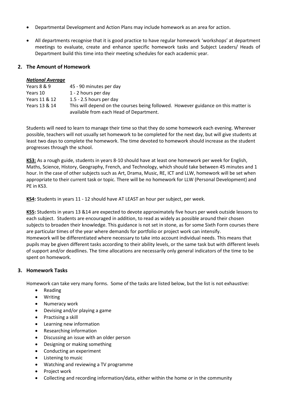- Departmental Development and Action Plans may include homework as an area for action.
- All departments recognise that it is good practice to have regular homework 'workshops' at department meetings to evaluate, create and enhance specific homework tasks and Subject Leaders/ Heads of Department build this time into their meeting schedules for each academic year.

# **2. The Amount of Homework**

#### *National Average*

| Years 8 & 9   | 45 - 90 minutes per day                                                            |  |  |
|---------------|------------------------------------------------------------------------------------|--|--|
| Years 10      | 1 - 2 hours per day                                                                |  |  |
| Years 11 & 12 | 1.5 - 2.5 hours per day                                                            |  |  |
| Years 13 & 14 | This will depend on the courses being followed. However guidance on this matter is |  |  |
|               | available from each Head of Department.                                            |  |  |

Students will need to learn to manage their time so that they do some homework each evening. Wherever possible, teachers will not usually set homework to be completed for the next day, but will give students at least two days to complete the homework. The time devoted to homework should increase as the student progresses through the school.

**KS3:** As a rough guide, students in years 8-10 should have at least one homework per week for English, Maths, Science, History, Geography, French, and Technology, which should take between 45 minutes and 1 hour. In the case of other subjects such as Art, Drama, Music, RE, ICT and LLW, homework will be set when appropriate to their current task or topic. There will be no homework for LLW (Personal Development) and PE in KS3.

**KS4:** Students in years 11 - 12 should have AT LEAST an hour per subject, per week.

**KS5:** Students in years 13 &14 are expected to devote approximately five hours per week outside lessons to each subject. Students are encouraged in addition, to read as widely as possible around their chosen subjects to broaden their knowledge. This guidance is not set in stone, as for some Sixth Form courses there are particular times of the year where demands for portfolio or project work can intensify. Homework will be differentiated where necessary to take into account individual needs. This means that pupils may be given different tasks according to their ability levels, or the same task but with different levels of support and/or deadlines. The time allocations are necessarily only general indicators of the time to be spent on homework.

#### **3. Homework Tasks**

Homework can take very many forms. Some of the tasks are listed below, but the list is not exhaustive:

- Reading
- Writing
- Numeracy work
- Devising and/or playing a game
- Practising a skill
- Learning new information
- Researching information
- Discussing an issue with an older person
- Designing or making something
- Conducting an experiment
- Listening to music
- Watching and reviewing a TV programme
- Project work
- Collecting and recording information/data, either within the home or in the community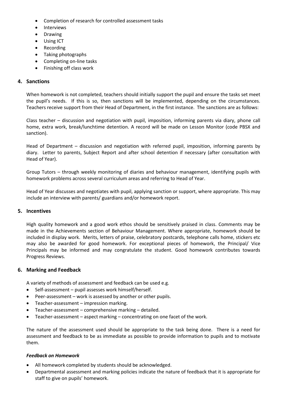- Completion of research for controlled assessment tasks
- Interviews
- Drawing
- Using ICT
- Recording
- Taking photographs
- Completing on-line tasks
- Finishing off class work

# **4. Sanctions**

When homework is not completed, teachers should initially support the pupil and ensure the tasks set meet the pupil's needs. If this is so, then sanctions will be implemented, depending on the circumstances. Teachers receive support from their Head of Department, in the first instance. The sanctions are as follows:

Class teacher – discussion and negotiation with pupil, imposition, informing parents via diary, phone call home, extra work, break/lunchtime detention. A record will be made on Lesson Monitor (code PBSX and sanction).

Head of Department – discussion and negotiation with referred pupil, imposition, informing parents by diary. Letter to parents, Subject Report and after school detention if necessary (after consultation with Head of Year).

Group Tutors – through weekly monitoring of diaries and behaviour management, identifying pupils with homework problems across several curriculum areas and referring to Head of Year.

Head of Year discusses and negotiates with pupil, applying sanction or support, where appropriate. This may include an interview with parents/ guardians and/or homework report.

#### **5. Incentives**

High quality homework and a good work ethos should be sensitively praised in class. Comments may be made in the Achievements section of Behaviour Management. Where appropriate, homework should be included in display work. Merits, letters of praise, celebratory postcards, telephone calls home, stickers etc may also be awarded for good homework. For exceptional pieces of homework, the Principal/ Vice Principals may be informed and may congratulate the student. Good homework contributes towards Progress Reviews.

#### **6. Marking and Feedback**

A variety of methods of assessment and feedback can be used e.g.

- Self-assessment pupil assesses work himself/herself.
- Peer-assessment work is assessed by another or other pupils.
- Teacher-assessment impression marking.
- Teacher-assessment comprehensive marking detailed.
- Teacher-assessment aspect marking concentrating on one facet of the work.

The nature of the assessment used should be appropriate to the task being done. There is a need for assessment and feedback to be as immediate as possible to provide information to pupils and to motivate them.

#### *Feedback on Homework*

- All homework completed by students should be acknowledged.
- Departmental assessment and marking policies indicate the nature of feedback that it is appropriate for staff to give on pupils' homework.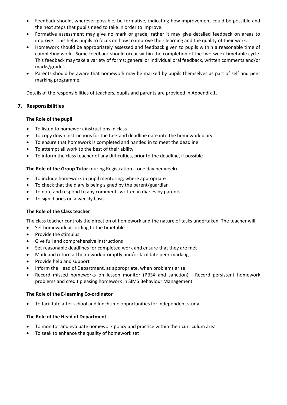- Feedback should, wherever possible, be formative, indicating how improvement could be possible and the next steps that pupils need to take in order to improve.
- Formative assessment may give no mark or grade; rather it may give detailed feedback on areas to improve. This helps pupils to focus on how to improve their learning and the quality of their work.
- Homework should be appropriately assessed and feedback given to pupils within a reasonable time of completing work. Some feedback should occur within the completion of the two-week timetable cycle. This feedback may take a variety of forms: general or individual oral feedback, written comments and/or marks/grades.
- Parents should be aware that homework may be marked by pupils themselves as part of self and peer marking programme.

Details of the responsibilities of teachers, pupils and parents are provided in Appendix 1.

# **7. Responsibilities**

# **The Role of the pupil**

- To listen to homework instructions in class
- To copy down instructions for the task and deadline date into the homework diary.
- To ensure that homework is completed and handed in to meet the deadline
- To attempt all work to the best of their ability
- To inform the class teacher of any difficulties, prior to the deadline, if possible

# **The Role of the Group Tutor** (during Registration – one day per week)

- To include homework in pupil mentoring, where appropriate
- To check that the diary is being signed by the parent/guardian
- To note and respond to any comments written in diaries by parents
- To sign diaries on a weekly basis

#### **The Role of the Class teacher**

The class teacher controls the direction of homework and the nature of tasks undertaken. The teacher will:

- Set homework according to the timetable
- Provide the stimulus
- Give full and comprehensive instructions
- Set reasonable deadlines for completed work and ensure that they are met
- Mark and return all homework promptly and/or facilitate peer-marking
- Provide help and support
- Inform the Head of Department, as appropriate, when problems arise
- Record missed homeworks on lesson monitor (PBSX and sanction). Record persistent homework problems and credit pleasing homework in SIMS Behaviour Management

#### **The Role of the E-learning Co-ordinator**

To facilitate after school and lunchtime opportunities for independent study

#### **The Role of the Head of Department**

- To monitor and evaluate homework policy and practice within their curriculum area
- To seek to enhance the quality of homework set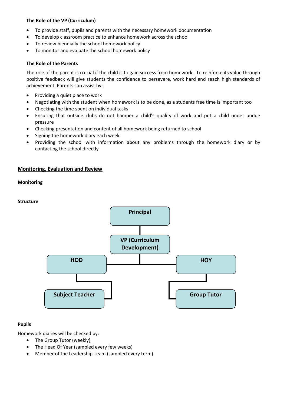# **The Role of the VP (Curriculum)**

- To provide staff, pupils and parents with the necessary homework documentation
- To develop classroom practice to enhance homework across the school
- To review biennially the school homework policy
- To monitor and evaluate the school homework policy

#### **The Role of the Parents**

The role of the parent is crucial if the child is to gain success from homework. To reinforce its value through positive feedback will give students the confidence to persevere, work hard and reach high standards of achievement. Parents can assist by:

- Providing a quiet place to work
- Negotiating with the student when homework is to be done, as a students free time is important too
- Checking the time spent on individual tasks
- Ensuring that outside clubs do not hamper a child's quality of work and put a child under undue pressure
- Checking presentation and content of all homework being returned to school
- Signing the homework diary each week
- Providing the school with information about any problems through the homework diary or by contacting the school directly

# **Monitoring, Evaluation and Review**

#### **Monitoring**





#### **Pupils**

Homework diaries will be checked by:

- The Group Tutor (weekly)
- The Head Of Year (sampled every few weeks)
- Member of the Leadership Team (sampled every term)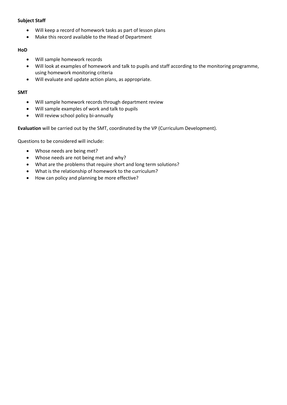# **Subject Staff**

- Will keep a record of homework tasks as part of lesson plans
- Make this record available to the Head of Department

#### **HoD**

- Will sample homework records
- Will look at examples of homework and talk to pupils and staff according to the monitoring programme, using homework monitoring criteria
- Will evaluate and update action plans, as appropriate.

# **SMT**

- Will sample homework records through department review
- Will sample examples of work and talk to pupils
- Will review school policy bi-annually

**Evaluation** will be carried out by the SMT, coordinated by the VP (Curriculum Development).

Questions to be considered will include:

- Whose needs are being met?
- Whose needs are not being met and why?
- What are the problems that require short and long term solutions?
- What is the relationship of homework to the curriculum?
- How can policy and planning be more effective?